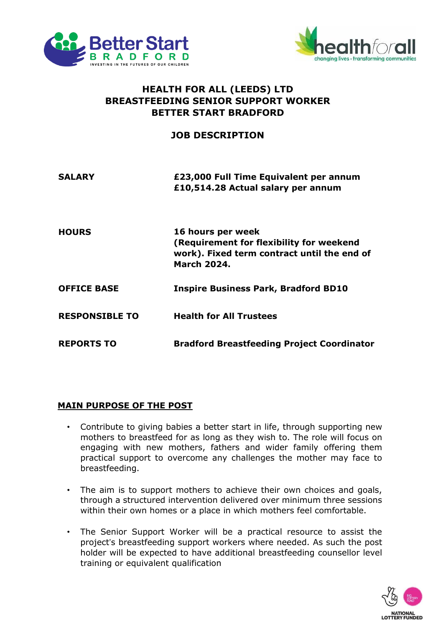



## **HEALTH FOR ALL (LEEDS) LTD BREASTFEEDING SENIOR SUPPORT WORKER BETTER START BRADFORD**

## **JOB DESCRIPTION**

| <b>SALARY</b>         | £23,000 Full Time Equivalent per annum<br>£10,514.28 Actual salary per annum                                                       |
|-----------------------|------------------------------------------------------------------------------------------------------------------------------------|
| <b>HOURS</b>          | 16 hours per week<br>(Requirement for flexibility for weekend<br>work). Fixed term contract until the end of<br><b>March 2024.</b> |
| <b>OFFICE BASE</b>    | <b>Inspire Business Park, Bradford BD10</b>                                                                                        |
| <b>RESPONSIBLE TO</b> | <b>Health for All Trustees</b>                                                                                                     |
| <b>REPORTS TO</b>     | <b>Bradford Breastfeeding Project Coordinator</b>                                                                                  |

## **MAIN PURPOSE OF THE POST**

- Contribute to giving babies a better start in life, through supporting new mothers to breastfeed for as long as they wish to. The role will focus on engaging with new mothers, fathers and wider family offering them practical support to overcome any challenges the mother may face to breastfeeding.
- The aim is to support mothers to achieve their own choices and goals, through a structured intervention delivered over minimum three sessions within their own homes or a place in which mothers feel comfortable.
- The Senior Support Worker will be a practical resource to assist the project's breastfeeding support workers where needed. As such the post holder will be expected to have additional breastfeeding counsellor level training or equivalent qualification

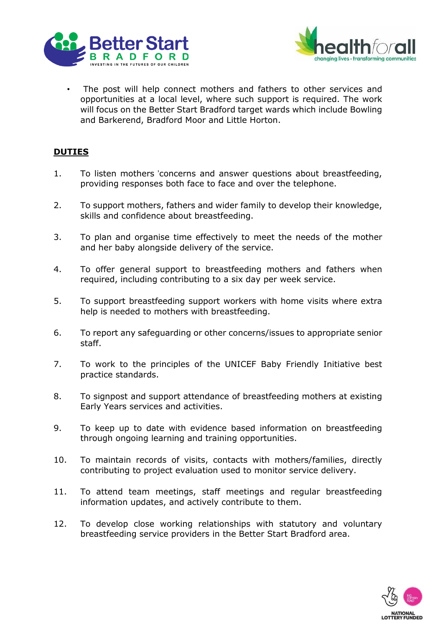



The post will help connect mothers and fathers to other services and opportunities at a local level, where such support is required. The work will focus on the Better Start Bradford target wards which include Bowling and Barkerend, Bradford Moor and Little Horton.

## **DUTIES**

- 1. To listen mothers 'concerns and answer questions about breastfeeding, providing responses both face to face and over the telephone.
- 2. To support mothers, fathers and wider family to develop their knowledge, skills and confidence about breastfeeding.
- 3. To plan and organise time effectively to meet the needs of the mother and her baby alongside delivery of the service.
- 4. To offer general support to breastfeeding mothers and fathers when required, including contributing to a six day per week service.
- 5. To support breastfeeding support workers with home visits where extra help is needed to mothers with breastfeeding.
- 6. To report any safeguarding or other concerns/issues to appropriate senior staff.
- 7. To work to the principles of the UNICEF Baby Friendly Initiative best practice standards.
- 8. To signpost and support attendance of breastfeeding mothers at existing Early Years services and activities.
- 9. To keep up to date with evidence based information on breastfeeding through ongoing learning and training opportunities.
- 10. To maintain records of visits, contacts with mothers/families, directly contributing to project evaluation used to monitor service delivery.
- 11. To attend team meetings, staff meetings and regular breastfeeding information updates, and actively contribute to them.
- 12. To develop close working relationships with statutory and voluntary breastfeeding service providers in the Better Start Bradford area.